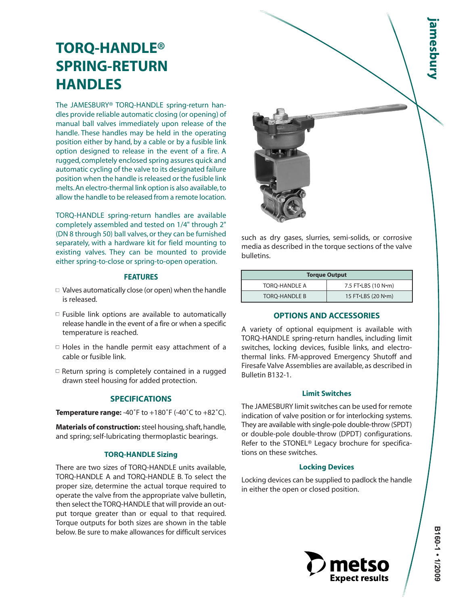# **TORQ-HANDLE® SPRING-RETURN HANDLES**

The JAMESBURY® TORQ-HANDLE spring-return handles provide reliable automatic closing (or opening) of manual ball valves immediately upon release of the handle. These handles may be held in the operating position either by hand, by a cable or by a fusible link option designed to release in the event of a fire. A rugged, completely enclosed spring assures quick and automatic cycling of the valve to its designated failure position when the handle is released or the fusible link melts.An electro-thermal link option is also available, to allow the handle to be released from a remote location.

TORQ-HANDLE spring-return handles are available completely assembled and tested on 1/4" through 2" (DN 8 through 50) ball valves, or they can be furnished separately, with a hardware kit for field mounting to existing valves. They can be mounted to provide either spring-to-close or spring-to-open operation.

# **FEATURES**

- $\Box$  Valves automatically close (or open) when the handle is released.
- $\Box$  Fusible link options are available to automatically release handle in the event of a fire or when a specific temperature is reached.
- $\Box$  Holes in the handle permit easy attachment of a cable or fusible link.
- $\Box$  Return spring is completely contained in a rugged drawn steel housing for added protection.

## **SPECIFICATIONS**

**Temperature range:** -40˚F to +180˚F (-40˚C to +82˚C).

**Materials of construction:**steel housing, shaft, handle, and spring; self-lubricating thermoplastic bearings.

# **TORQ-HANDLE Sizing**

There are two sizes of TORQ-HANDLE units available, TORQ-HANDLE A and TORQ-HANDLE B. To select the proper size, determine the actual torque required to operate the valve from the appropriate valve bulletin, then select the TORQ-HANDLE that will provide an output torque greater than or equal to that required. Torque outputs for both sizes are shown in the table below. Be sure to make allowances for difficult services



such as dry gases, slurries, semi-solids, or corrosive media as described in the torque sections of the valve bulletins.

| <b>Torque Output</b> |                     |  |  |
|----------------------|---------------------|--|--|
| TORO-HANDLE A        | 7.5 FT.LBS (10 N.m) |  |  |
| <b>TORO-HANDLE B</b> | 15 FT.LBS (20 N.m)  |  |  |

# **OPTIONS AND ACCESSORIES**

A variety of optional equipment is available with TORQ-HANDLE spring-return handles, including limit switches, locking devices, fusible links, and electrothermal links. FM-approved Emergency Shutoff and Firesafe Valve Assemblies are available, as described in Bulletin B132-1.

## **Limit Switches**

The JAMESBURY limit switches can be used for remote indication of valve position or for interlocking systems. They are available with single-pole double-throw (SPDT) or double-pole double-throw (DPDT) configurations. Refer to the STONEL® Legacy brochure for specifications on these switches.

# **Locking Devices**

Locking devices can be supplied to padlock the handle in either the open or closed position.